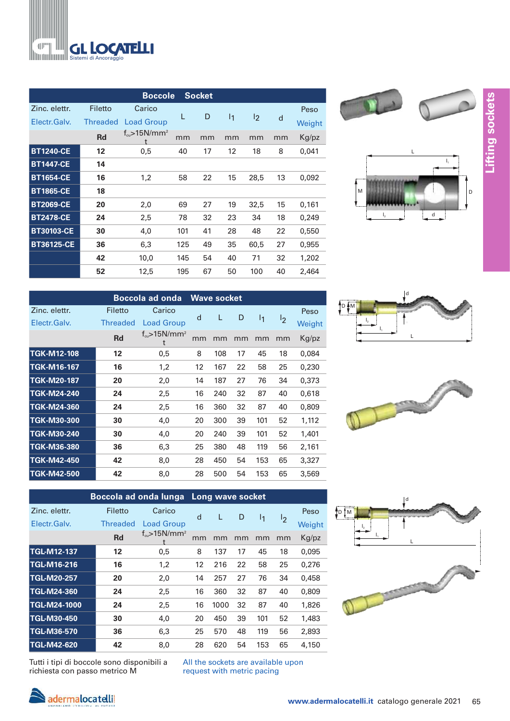

|                   |                 | <b>Boccole</b>                       |     | <b>Socket</b> |                |      |    |        |
|-------------------|-----------------|--------------------------------------|-----|---------------|----------------|------|----|--------|
| Zinc. elettr.     | Filetto         | Carico                               |     |               |                |      |    | Peso   |
| Electr.Galv.      | <b>Threaded</b> | <b>Load Group</b>                    | L   | D             | 1 <sub>1</sub> | 12   | d  | Weight |
|                   | <b>Rd</b>       | $f_{\text{cm}}$ >15N/mm <sup>2</sup> | mm  | mm            | mm             | mm   | mm | Kg/pz  |
| <b>BT1240-CE</b>  | 12              | 0,5                                  | 40  | 17            | 12             | 18   | 8  | 0,041  |
| <b>BT1447-CE</b>  | 14              |                                      |     |               |                |      |    |        |
| <b>BT1654-CE</b>  | 16              | 1,2                                  | 58  | 22            | 15             | 28,5 | 13 | 0,092  |
| <b>BT1865-CE</b>  | 18              |                                      |     |               |                |      |    |        |
| <b>BT2069-CE</b>  | 20              | 2,0                                  | 69  | 27            | 19             | 32,5 | 15 | 0,161  |
| <b>BT2478-CE</b>  | 24              | 2,5                                  | 78  | 32            | 23             | 34   | 18 | 0,249  |
| <b>BT30103-CE</b> | 30              | 4,0                                  | 101 | 41            | 28             | 48   | 22 | 0,550  |
| <b>BT36125-CE</b> | 36              | 6,3                                  | 125 | 49            | 35             | 60,5 | 27 | 0,955  |
|                   | 42              | 10,0                                 | 145 | 54            | 40             | 71   | 32 | 1,202  |
|                   | 52              | 12,5                                 | 195 | 67            | 50             | 100  | 40 | 2,464  |



|                               | <b>Boccola ad onda</b>     | <b>Wave socket</b>                        |    |     |    |     |                |                |
|-------------------------------|----------------------------|-------------------------------------------|----|-----|----|-----|----------------|----------------|
| Zinc. elettr.<br>Electr.Galv. | Filetto<br><b>Threaded</b> | Carico<br><b>Load Group</b>               | d  | L   | D  | I1  | 1 <sub>2</sub> | Peso<br>Weight |
|                               | <b>Rd</b>                  | $f_{\text{cm}}$ >15N/mm <sup>2</sup><br>t | mm | mm  | mm | mm  | mm             | Kg/pz          |
| <b>TGK-M12-108</b>            | 12                         | 0,5                                       | 8  | 108 | 17 | 45  | 18             | 0,084          |
| <b>TGK-M16-167</b>            | 16                         | 1,2                                       | 12 | 167 | 22 | 58  | 25             | 0,230          |
| <b>TGK-M20-187</b>            | 20                         | 2,0                                       | 14 | 187 | 27 | 76  | 34             | 0,373          |
| <b>TGK-M24-240</b>            | 24                         | 2,5                                       | 16 | 240 | 32 | 87  | 40             | 0,618          |
| TGK-M24-360                   | 24                         | 2,5                                       | 16 | 360 | 32 | 87  | 40             | 0,809          |
| <b>TGK-M30-300</b>            | 30                         | 4,0                                       | 20 | 300 | 39 | 101 | 52             | 1,112          |
| <b>TGK-M30-240</b>            | 30                         | 4,0                                       | 20 | 240 | 39 | 101 | 52             | 1,401          |
| <b>TGK-M36-380</b>            | 36                         | 6,3                                       | 25 | 380 | 48 | 119 | 56             | 2,161          |
| <b>TGK-M42-450</b>            | 42                         | 8,0                                       | 28 | 450 | 54 | 153 | 65             | 3,327          |
| <b>TGK-M42-500</b>            | 42                         | 8,0                                       | 28 | 500 | 54 | 153 | 65             | 3,569          |

<sup>≜</sup>D ∯M d  $\mathsf{I}_1$ L l,



|                     | Boccola ad onda lunga |                                        |    | Long wave socket |    |                |    |        |
|---------------------|-----------------------|----------------------------------------|----|------------------|----|----------------|----|--------|
| Zinc. elettr.       | Filetto               | Carico                                 | d  | L                | D  |                |    | Peso   |
| Electr.Galv.        | <b>Threaded</b>       | <b>Load Group</b>                      |    |                  |    | $\mathsf{I}_1$ | 12 | Weight |
|                     | <b>Rd</b>             | $f_{\text{cu}} > 15$ N/mm <sup>2</sup> | mm | mm               | mm | mm             | mm | Kg/pz  |
| <b>TGL-M12-137</b>  | 12                    | 0,5                                    | 8  | 137              | 17 | 45             | 18 | 0,095  |
| <b>TGL-M16-216</b>  | 16                    | 1,2                                    | 12 | 216              | 22 | 58             | 25 | 0,276  |
| <b>TGL-M20-257</b>  | 20                    | 2,0                                    | 14 | 257              | 27 | 76             | 34 | 0,458  |
| <b>TGL-M24-360</b>  | 24                    | 2,5                                    | 16 | 360              | 32 | 87             | 40 | 0,809  |
| <b>TGL-M24-1000</b> | 24                    | 2,5                                    | 16 | 1000             | 32 | 87             | 40 | 1,826  |
| <b>TGL-M30-450</b>  | 30                    | 4,0                                    | 20 | 450              | 39 | 101            | 52 | 1,483  |
| <b>TGL-M36-570</b>  | 36                    | 6,3                                    | 25 | 570              | 48 | 119            | 56 | 2,893  |
| <b>TGL-M42-620</b>  | 42                    | 8,0                                    | 28 | 620              | 54 | 153            | 65 | 4,150  |



Tutti i tipi di boccole sono disponibili a richiesta con passo metrico M

All the sockets are available upon request with metric pacing

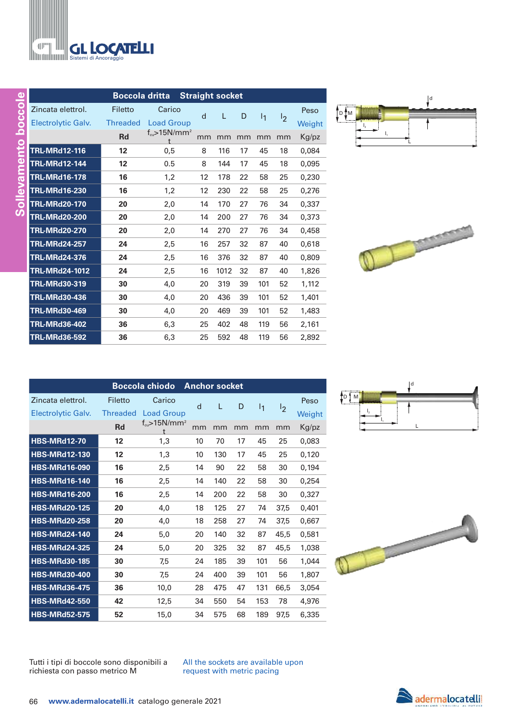|                      | <b>Boccola dritta</b> | <b>Straight socket</b>             |    |      |    |     |                |        |
|----------------------|-----------------------|------------------------------------|----|------|----|-----|----------------|--------|
| Zincata elettrol.    | Filetto               | Carico                             | d  | L    | D  | 11  | $\mathsf{I}_2$ | Peso   |
| Electrolytic Galv.   | <b>Threaded</b>       | <b>Load Group</b>                  |    |      |    |     |                | Weight |
|                      | Rd                    | $f_{cu}$ >15N/mm <sup>2</sup><br>t | mm | mm   | mm | mm  | mm             | Kg/pz  |
| <b>TRL-MRd12-116</b> | 12                    | 0.5                                | 8  | 116  | 17 | 45  | 18             | 0.084  |
| <b>TRL-MRd12-144</b> | 12                    | 0.5                                | 8  | 144  | 17 | 45  | 18             | 0,095  |
| <b>TRL-MRd16-178</b> | 16                    | 1,2                                | 12 | 178  | 22 | 58  | 25             | 0,230  |
| <b>TRL-MRd16-230</b> | 16                    | 1,2                                | 12 | 230  | 22 | 58  | 25             | 0,276  |
| <b>TRL-MRd20-170</b> | 20                    | 2,0                                | 14 | 170  | 27 | 76  | 34             | 0,337  |
| <b>TRL-MRd20-200</b> | 20                    | 2,0                                | 14 | 200  | 27 | 76  | 34             | 0,373  |
| <b>TRL-MRd20-270</b> | 20                    | 2,0                                | 14 | 270  | 27 | 76  | 34             | 0,458  |
| <b>TRL-MRd24-257</b> | 24                    | 2,5                                | 16 | 257  | 32 | 87  | 40             | 0.618  |
| <b>TRL-MRd24-376</b> | 24                    | 2,5                                | 16 | 376  | 32 | 87  | 40             | 0,809  |
| TRL-MRd24-1012       | 24                    | 2,5                                | 16 | 1012 | 32 | 87  | 40             | 1,826  |
| <b>TRL-MRd30-319</b> | 30                    | 4.0                                | 20 | 319  | 39 | 101 | 52             | 1.112  |
| <b>TRL-MRd30-436</b> | 30                    | 4,0                                | 20 | 436  | 39 | 101 | 52             | 1,401  |
| <b>TRL-MRd30-469</b> | 30                    | 4,0                                | 20 | 469  | 39 | 101 | 52             | 1,483  |
| <b>TRL-MRd36-402</b> | 36                    | 6,3                                | 25 | 402  | 48 | 119 | 56             | 2,161  |
| <b>TRL-MRd36-592</b> | 36                    | 6,3                                | 25 | 592  | 48 | 119 | 56             | 2,892  |





| <b>Boccola chiodo</b><br><b>Anchor socket</b> |                   |                                      |    |     |    |                |                |        |
|-----------------------------------------------|-------------------|--------------------------------------|----|-----|----|----------------|----------------|--------|
| Zincata elettrol.                             | Filetto           | Carico                               | d  | L   | D  | $\mathsf{I}_1$ |                | Peso   |
| Electrolytic Galv.                            | <b>Threaded</b>   | <b>Load Group</b>                    |    |     |    |                | $\mathsf{I}_2$ | Weight |
|                                               | <b>Rd</b>         | $f_{\text{cu}}$ >15N/mm <sup>2</sup> | mm | mm  | mm | mm             | mm             | Kg/pz  |
| <b>HBS-MRd12-70</b>                           | $12 \overline{ }$ | 1,3                                  | 10 | 70  | 17 | 45             | 25             | 0,083  |
| <b>HBS-MRd12-130</b>                          | 12                | 1,3                                  | 10 | 130 | 17 | 45             | 25             | 0,120  |
| <b>HBS-MRd16-090</b>                          | 16                | 2,5                                  | 14 | 90  | 22 | 58             | 30             | 0,194  |
| <b>HBS-MRd16-140</b>                          | 16                | 2,5                                  | 14 | 140 | 22 | 58             | 30             | 0,254  |
| <b>HBS-MRd16-200</b>                          | 16                | 2,5                                  | 14 | 200 | 22 | 58             | 30             | 0,327  |
| <b>HBS-MRd20-125</b>                          | 20                | 4,0                                  | 18 | 125 | 27 | 74             | 37,5           | 0,401  |
| <b>HBS-MRd20-258</b>                          | 20                | 4,0                                  | 18 | 258 | 27 | 74             | 37,5           | 0,667  |
| <b>HBS-MRd24-140</b>                          | 24                | 5,0                                  | 20 | 140 | 32 | 87             | 45,5           | 0,581  |
| <b>HBS-MRd24-325</b>                          | 24                | 5,0                                  | 20 | 325 | 32 | 87             | 45,5           | 1,038  |
| <b>HBS-MRd30-185</b>                          | 30                | 7,5                                  | 24 | 185 | 39 | 101            | 56             | 1,044  |
| <b>HBS-MRd30-400</b>                          | 30                | 7,5                                  | 24 | 400 | 39 | 101            | 56             | 1,807  |
| <b>HBS-MRd36-475</b>                          | 36                | 10,0                                 | 28 | 475 | 47 | 131            | 66,5           | 3,054  |
| <b>HBS-MRd42-550</b>                          | 42                | 12,5                                 | 34 | 550 | 54 | 153            | 78             | 4,976  |
| <b>HBS-MRd52-575</b>                          | 52                | 15,0                                 | 34 | 575 | 68 | 189            | 97,5           | 6,335  |





Tutti i tipi di boccole sono disponibili a richiesta con passo metrico M

All the sockets are available upon request with metric pacing

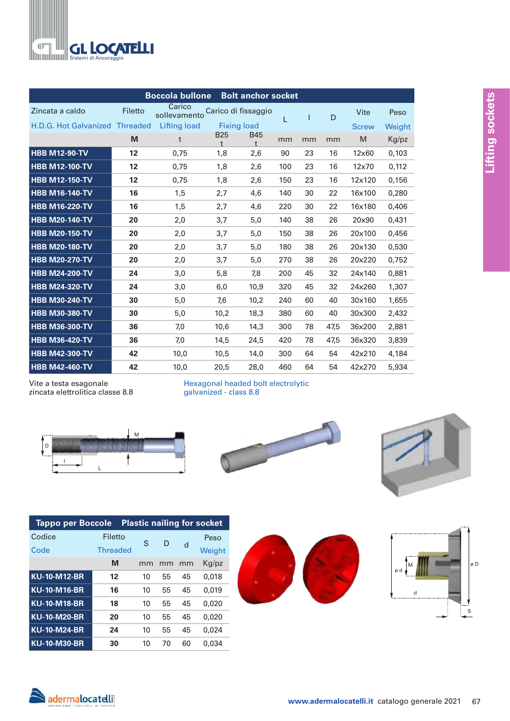

|                                |         | <b>Boccola bullone</b> |                          | <b>Bolt anchor socket</b> |     |    |              |              |        |
|--------------------------------|---------|------------------------|--------------------------|---------------------------|-----|----|--------------|--------------|--------|
| Zincata a caldo                | Filetto | Carico<br>sollevamento |                          | Carico di fissaggio       | L   |    | $\mathsf{D}$ | Vite         | Peso   |
| H.D.G. Hot Galvanized Threaded |         | <b>Lifting load</b>    |                          | <b>Fixing load</b>        |     |    |              | <b>Screw</b> | Weight |
|                                | M       | t                      | <b>B25</b><br>$\ddagger$ | <b>B45</b><br>$\ddagger$  | mm  | mm | mm           | M            | Kg/pz  |
| <b>HBB M12-90-TV</b>           | 12      | 0,75                   | 1,8                      | 2,6                       | 90  | 23 | 16           | 12×60        | 0,103  |
| <b>HBB M12-100-TV</b>          | 12      | 0,75                   | 1,8                      | 2,6                       | 100 | 23 | 16           | 12×70        | 0,112  |
| <b>HBB M12-150-TV</b>          | 12      | 0,75                   | 1,8                      | 2,6                       | 150 | 23 | 16           | 12x120       | 0,156  |
| <b>HBB M16-140-TV</b>          | 16      | 1,5                    | 2,7                      | 4,6                       | 140 | 30 | 22           | 16×100       | 0,280  |
| <b>HBB M16-220-TV</b>          | 16      | 1,5                    | 2,7                      | 4,6                       | 220 | 30 | 22           | 16x180       | 0,406  |
| <b>HBB M20-140-TV</b>          | 20      | 2,0                    | 3,7                      | 5,0                       | 140 | 38 | 26           | 20×90        | 0,431  |
| <b>HBB M20-150-TV</b>          | 20      | 2,0                    | 3,7                      | 5,0                       | 150 | 38 | 26           | 20×100       | 0,456  |
| <b>HBB M20-180-TV</b>          | 20      | 2,0                    | 3,7                      | 5,0                       | 180 | 38 | 26           | 20x130       | 0,530  |
| <b>HBB M20-270-TV</b>          | 20      | 2,0                    | 3,7                      | 5,0                       | 270 | 38 | 26           | 20x220       | 0,752  |
| <b>HBB M24-200-TV</b>          | 24      | 3,0                    | 5,8                      | 7,8                       | 200 | 45 | 32           | 24x140       | 0,881  |
| <b>HBB M24-320-TV</b>          | 24      | 3,0                    | 6,0                      | 10,9                      | 320 | 45 | 32           | 24x260       | 1,307  |
| <b>HBB M30-240-TV</b>          | 30      | 5,0                    | 7,6                      | 10,2                      | 240 | 60 | 40           | 30×160       | 1,655  |
| <b>HBB M30-380-TV</b>          | 30      | 5,0                    | 10,2                     | 18,3                      | 380 | 60 | 40           | 30×300       | 2,432  |
| <b>HBB M36-300-TV</b>          | 36      | 7,0                    | 10,6                     | 14,3                      | 300 | 78 | 47,5         | 36x200       | 2,881  |
| <b>HBB M36-420-TV</b>          | 36      | 7,0                    | 14,5                     | 24,5                      | 420 | 78 | 47,5         | 36x320       | 3,839  |
| <b>HBB M42-300-TV</b>          | 42      | 10,0                   | 10,5                     | 14,0                      | 300 | 64 | 54           | 42x210       | 4,184  |
| <b>HBB M42-460-TV</b>          | 42      | 10,0                   | 20,5                     | 28,0                      | 460 | 64 | 54           | 42x270       | 5,934  |

Vite a testa esagonale zincata elettrolitica classe 8.8 Hexagonal headed bolt electrolytic galvanized - class 8.8



| <b>Tappo per Boccole</b> |                 |    |    |    | <b>Plastic nailing for socket</b> |
|--------------------------|-----------------|----|----|----|-----------------------------------|
| Codice                   | Filetto         | S. | D  |    | Peso                              |
| Code                     | <b>Threaded</b> |    |    | d  | Weight                            |
|                          | M               | mm | mm | mm | Kg/pz                             |
| <b>KU-10-M12-BR</b>      | 12              | 10 | 55 | 45 | 0.018                             |
| <b>KU-10-M16-BR</b>      | 16              | 10 | 55 | 45 | 0.019                             |
| <b>KU-10-M18-BR</b>      | 18              | 10 | 55 | 45 | 0.020                             |
| <b>KU-10-M20-BR</b>      | 20              | 10 | 55 | 45 | 0.020                             |
| <b>KU-10-M24-BR</b>      | 24              | 10 | 55 | 45 | 0.024                             |
| <b>KU-10-M30-BR</b>      | 30              | 10 | 70 | 60 | 0.034                             |